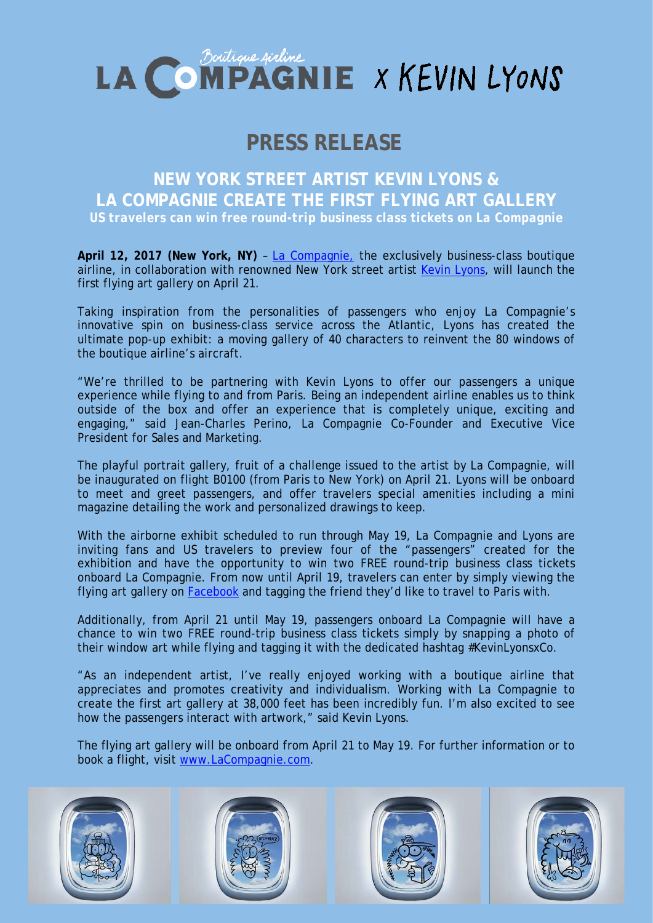

## **PRESS RELEASE**

**NEW YORK STREET ARTIST KEVIN LYONS & LA COMPAGNIE CREATE THE FIRST FLYING ART GALLERY** *US travelers can win free round-trip business class tickets on La Compagnie* 

**April 12, 2017 (New York, NY)** – [La Compagnie,](https://www.lacompagnie.com/en) the exclusively business-class boutique airline, in collaboration with renowned New York street artist [Kevin Lyons,](http://www.naturalborn.com/) will launch the first flying art gallery on April 21.

Taking inspiration from the personalities of passengers who enjoy La Compagnie's innovative spin on business-class service across the Atlantic, Lyons has created the ultimate pop-up exhibit: a moving gallery of 40 characters to reinvent the 80 windows of the boutique airline's aircraft.

"We're thrilled to be partnering with Kevin Lyons to offer our passengers a unique experience while flying to and from Paris. Being an independent airline enables us to think outside of the box and offer an experience that is completely unique, exciting and engaging," said Jean-Charles Perino, La Compagnie Co-Founder and Executive Vice President for Sales and Marketing.

The playful portrait gallery, fruit of a challenge issued to the artist by La Compagnie, will be inaugurated on flight B0100 (from Paris to New York) on April 21. Lyons will be onboard to meet and greet passengers, and offer travelers special amenities including a mini magazine detailing the work and personalized drawings to keep.

With the airborne exhibit scheduled to run through May 19, La Compagnie and Lyons are inviting fans and US travelers to preview four of the "passengers" created for the exhibition and have the opportunity to win two FREE round-trip business class tickets onboard La Compagnie. From now until April 19, travelers can enter by simply viewing the flying art gallery on [Facebook](https://www.facebook.com/LaCompagnieBoutiqueAirline.) and tagging the friend they'd like to travel to Paris with.

Additionally, from April 21 until May 19, passengers onboard La Compagnie will have a chance to win two FREE round-trip business class tickets simply by snapping a photo of their window art while flying and tagging it with the dedicated hashtag #KevinLyonsxCo.

"As an independent artist, I've really enjoyed working with a boutique airline that appreciates and promotes creativity and individualism. Working with La Compagnie to create the first art gallery at 38,000 feet has been incredibly fun. I'm also excited to see how the passengers interact with artwork," said Kevin Lyons.

The flying art gallery will be onboard from April 21 to May 19. For further information or to book a flight, visit [www.LaCompagnie.com.](http://www.lacompagnie.com/)